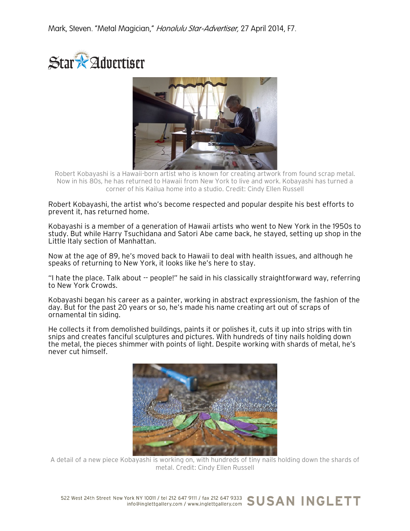



Robert Kobayashi is a Hawaii-born artist who is known for creating artwork from found scrap metal. Now in his 80s, he has returned to Hawaii from New York to live and work. Kobayashi has turned a corner of his Kailua home into a studio. Credit: Cindy Ellen Russell

Robert Kobayashi, the artist who's become respected and popular despite his best efforts to prevent it, has returned home.

Kobayashi is a member of a generation of Hawaii artists who went to New York in the 1950s to study. But while Harry Tsuchidana and Satori Abe came back, he stayed, setting up shop in the Little Italy section of Manhattan.

Now at the age of 89, he's moved back to Hawaii to deal with health issues, and although he speaks of returning to New York, it looks like he's here to stay.

"I hate the place. Talk about -- people!" he said in his classically straightforward way, referring to New York Crowds.

Kobayashi began his career as a painter, working in abstract expressionism, the fashion of the day. But for the past 20 years or so, he's made his name creating art out of scraps of ornamental tin siding.

He collects it from demolished buildings, paints it or polishes it, cuts it up into strips with tin snips and creates fanciful sculptures and pictures. With hundreds of tiny nails holding down the metal, the pieces shimmer with points of light. Despite working with shards of metal, he's never cut himself.



A detail of a new piece Kobayashi is working on, with hundreds of tiny nails holding down the shards of metal. Credit: Cindy Ellen Russell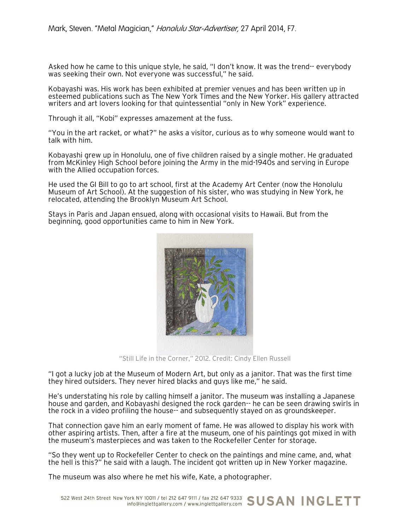Asked how he came to this unique style, he said, "I don't know. It was the trend-- everybody was seeking their own. Not everyone was successful," he said.

Kobayashi was. His work has been exhibited at premier venues and has been written up in esteemed publications such as The New York Times and the New Yorker. His gallery attracted writers and art lovers looking for that quintessential "only in New York" experience.

Through it all, "Kobi" expresses amazement at the fuss.

"You in the art racket, or what?" he asks a visitor, curious as to why someone would want to talk with him.

Kobayashi grew up in Honolulu, one of five children raised by a single mother. He graduated from McKinley High School before joining the Army in the mid-1940s and serving in Europe with the Allied occupation forces.

He used the GI Bill to go to art school, first at the Academy Art Center (now the Honolulu Museum of Art School). At the suggestion of his sister, who was studying in New York, he relocated, attending the Brooklyn Museum Art School.

Stays in Paris and Japan ensued, along with occasional visits to Hawaii. But from the beginning, good opportunities came to him in New York.



"Still Life in the Corner," 2012. Credit: Cindy Ellen Russell

"I got a lucky job at the Museum of Modern Art, but only as a janitor. That was the first time they hired outsiders. They never hired blacks and guys like me," he said.

He's understating his role by calling himself a janitor. The museum was installing a Japanese house and garden, and Kobayashi designed the rock garden-- he can be seen drawing swirls in the rock in a video profiling the house-- and subsequently stayed on as groundskeeper.

That connection gave him an early moment of fame. He was allowed to display his work with other aspiring artists. Then, after a fire at the museum, one of his paintings got mixed in with the museum's masterpieces and was taken to the Rockefeller Center for storage.

"So they went up to Rockefeller Center to check on the paintings and mine came, and, what the hell is this?" he said with a laugh. The incident got written up in New Yorker magazine.

The museum was also where he met his wife, Kate, a photographer.